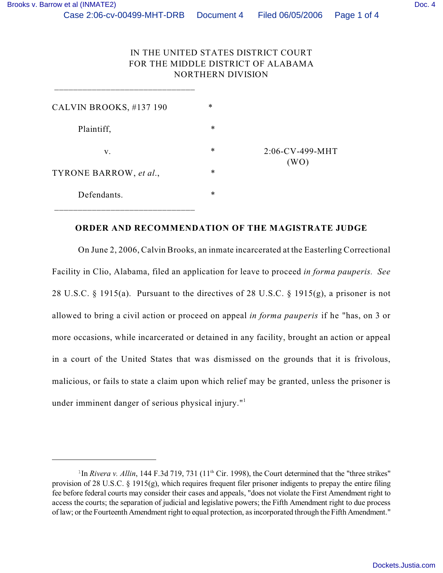## IN THE UNITED STATES DISTRICT COURT FOR THE MIDDLE DISTRICT OF ALABAMA NORTHERN DIVISION

| CALVIN BROOKS, #137 190 | $\ast$ |                         |
|-------------------------|--------|-------------------------|
| Plaintiff,              | $\ast$ | 2:06-CV-499-MHT<br>(WO) |
| v.                      | $\ast$ |                         |
| TYRONE BARROW, et al.,  | $\ast$ |                         |
| Defendants.             | $\ast$ |                         |
|                         |        |                         |

\_\_\_\_\_\_\_\_\_\_\_\_\_\_\_\_\_\_\_\_\_\_\_\_\_\_\_\_\_\_

## **ORDER AND RECOMMENDATION OF THE MAGISTRATE JUDGE**

On June 2, 2006, Calvin Brooks, an inmate incarcerated at the Easterling Correctional Facility in Clio, Alabama, filed an application for leave to proceed *in forma pauperis. See* 28 U.S.C. § 1915(a). Pursuant to the directives of 28 U.S.C. § 1915(g), a prisoner is not allowed to bring a civil action or proceed on appeal *in forma pauperis* if he "has, on 3 or more occasions, while incarcerated or detained in any facility, brought an action or appeal in a court of the United States that was dismissed on the grounds that it is frivolous, malicious, or fails to state a claim upon which relief may be granted, unless the prisoner is under imminent danger of serious physical injury."<sup>1</sup>

<sup>&</sup>lt;sup>1</sup>In *Rivera v. Allin*, 144 F.3d 719, 731 ( $11<sup>th</sup>$  Cir. 1998), the Court determined that the "three strikes" provision of 28 U.S.C. § 1915(g), which requires frequent filer prisoner indigents to prepay the entire filing fee before federal courts may consider their cases and appeals, "does not violate the First Amendment right to access the courts; the separation of judicial and legislative powers; the Fifth Amendment right to due process of law; or the Fourteenth Amendment right to equal protection, as incorporated through the Fifth Amendment."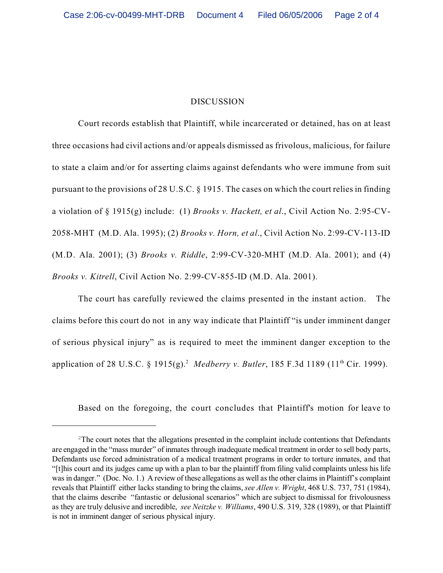## DISCUSSION

Court records establish that Plaintiff, while incarcerated or detained, has on at least three occasions had civil actions and/or appeals dismissed as frivolous, malicious, for failure to state a claim and/or for asserting claims against defendants who were immune from suit pursuant to the provisions of 28 U.S.C. § 1915. The cases on which the court relies in finding a violation of § 1915(g) include: (1) *Brooks v. Hackett, et al*., Civil Action No. 2:95-CV-2058-MHT (M.D. Ala. 1995); (2) *Brooks v. Horn, et al*., Civil Action No. 2:99-CV-113-ID (M.D. Ala. 2001); (3) *Brooks v. Riddle*, 2:99-CV-320-MHT (M.D. Ala. 2001); and (4) *Brooks v. Kitrell*, Civil Action No. 2:99-CV-855-ID (M.D. Ala. 2001).

The court has carefully reviewed the claims presented in the instant action. The claims before this court do not in any way indicate that Plaintiff "is under imminent danger of serious physical injury" as is required to meet the imminent danger exception to the application of 28 U.S.C. § 1915(g).<sup>2</sup> Medberry v. Butler, 185 F.3d 1189 (11<sup>th</sup> Cir. 1999).

Based on the foregoing, the court concludes that Plaintiff's motion for leave to

 $2$ The court notes that the allegations presented in the complaint include contentions that Defendants are engaged in the "mass murder" of inmates through inadequate medical treatment in order to sell body parts, Defendants use forced administration of a medical treatment programs in order to torture inmates, and that "[t]his court and its judges came up with a plan to bar the plaintiff from filing valid complaints unless his life was in danger." (Doc. No. 1.) A review of these allegations as well as the other claims in Plaintiff's complaint reveals that Plaintiff either lacks standing to bring the claims, *see Allen v. Wright*, 468 U.S. 737, 751 (1984), that the claims describe "fantastic or delusional scenarios" which are subject to dismissal for frivolousness as they are truly delusive and incredible, *see Neitzke v. Williams*, 490 U.S. 319, 328 (1989), or that Plaintiff is not in imminent danger of serious physical injury.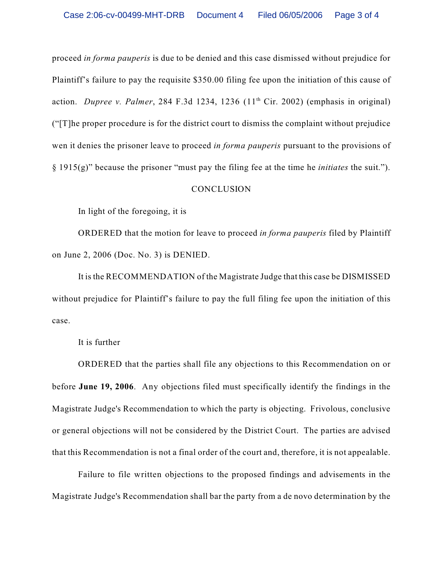proceed *in forma pauperis* is due to be denied and this case dismissed without prejudice for Plaintiff's failure to pay the requisite \$350.00 filing fee upon the initiation of this cause of action. *Dupree v. Palmer*, 284 F.3d 1234, 1236  $(11<sup>th</sup> Cir. 2002)$  (emphasis in original) ("[T]he proper procedure is for the district court to dismiss the complaint without prejudice wen it denies the prisoner leave to proceed *in forma pauperis* pursuant to the provisions of § 1915(g)" because the prisoner "must pay the filing fee at the time he *initiates* the suit.").

## **CONCLUSION**

In light of the foregoing, it is

ORDERED that the motion for leave to proceed *in forma pauperis* filed by Plaintiff on June 2, 2006 (Doc. No. 3) is DENIED.

It is the RECOMMENDATION of the Magistrate Judge that this case be DISMISSED without prejudice for Plaintiff's failure to pay the full filing fee upon the initiation of this case.

It is further

ORDERED that the parties shall file any objections to this Recommendation on or before **June 19, 2006**. Any objections filed must specifically identify the findings in the Magistrate Judge's Recommendation to which the party is objecting. Frivolous, conclusive or general objections will not be considered by the District Court. The parties are advised that this Recommendation is not a final order of the court and, therefore, it is not appealable.

Failure to file written objections to the proposed findings and advisements in the Magistrate Judge's Recommendation shall bar the party from a de novo determination by the